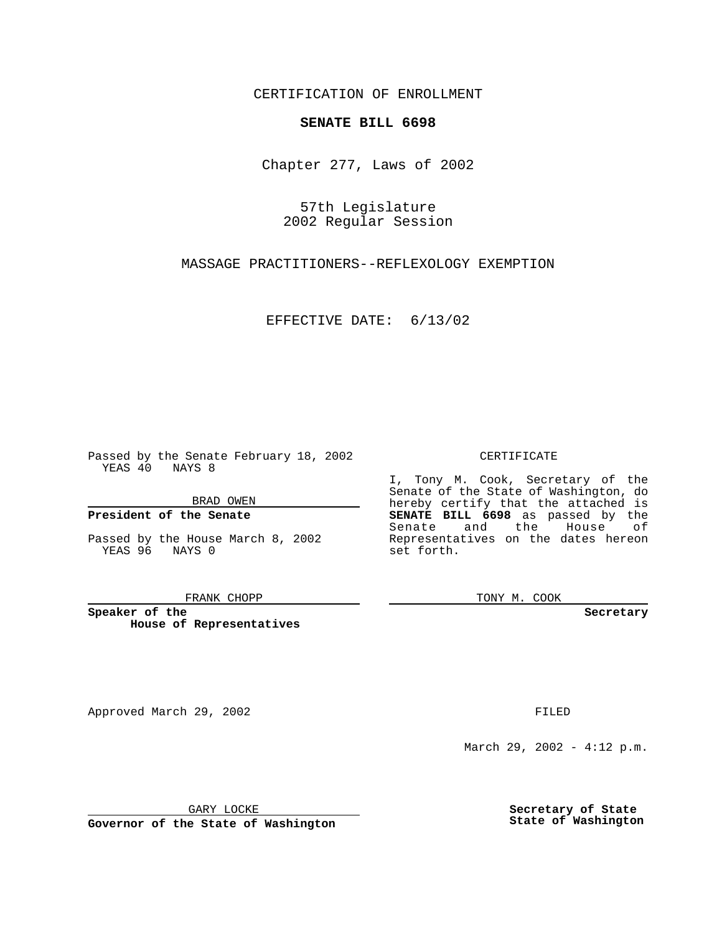CERTIFICATION OF ENROLLMENT

## **SENATE BILL 6698**

Chapter 277, Laws of 2002

57th Legislature 2002 Regular Session

MASSAGE PRACTITIONERS--REFLEXOLOGY EXEMPTION

EFFECTIVE DATE: 6/13/02

Passed by the Senate February 18, 2002 YEAS 40 NAYS 8

BRAD OWEN

### **President of the Senate**

Passed by the House March 8, 2002 YEAS 96 NAYS 0

#### FRANK CHOPP

**Speaker of the House of Representatives**

Approved March 29, 2002 **FILED** 

### CERTIFICATE

I, Tony M. Cook, Secretary of the Senate of the State of Washington, do hereby certify that the attached is **SENATE BILL 6698** as passed by the Senate and the House of Representatives on the dates hereon set forth.

TONY M. COOK

**Secretary**

March 29, 2002 - 4:12 p.m.

GARY LOCKE

**Governor of the State of Washington**

**Secretary of State State of Washington**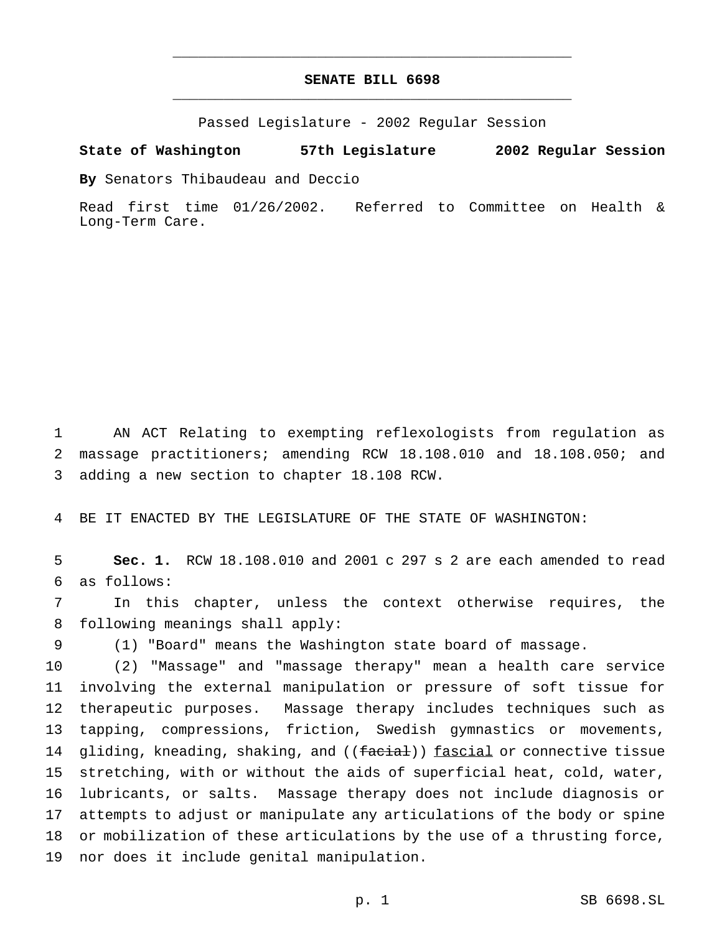# **SENATE BILL 6698** \_\_\_\_\_\_\_\_\_\_\_\_\_\_\_\_\_\_\_\_\_\_\_\_\_\_\_\_\_\_\_\_\_\_\_\_\_\_\_\_\_\_\_\_\_\_\_

\_\_\_\_\_\_\_\_\_\_\_\_\_\_\_\_\_\_\_\_\_\_\_\_\_\_\_\_\_\_\_\_\_\_\_\_\_\_\_\_\_\_\_\_\_\_\_

Passed Legislature - 2002 Regular Session

### **State of Washington 57th Legislature 2002 Regular Session**

**By** Senators Thibaudeau and Deccio

Read first time 01/26/2002. Referred to Committee on Health & Long-Term Care.

 AN ACT Relating to exempting reflexologists from regulation as massage practitioners; amending RCW 18.108.010 and 18.108.050; and adding a new section to chapter 18.108 RCW.

BE IT ENACTED BY THE LEGISLATURE OF THE STATE OF WASHINGTON:

 **Sec. 1.** RCW 18.108.010 and 2001 c 297 s 2 are each amended to read as follows:

 In this chapter, unless the context otherwise requires, the following meanings shall apply:

(1) "Board" means the Washington state board of massage.

 (2) "Massage" and "massage therapy" mean a health care service involving the external manipulation or pressure of soft tissue for therapeutic purposes. Massage therapy includes techniques such as tapping, compressions, friction, Swedish gymnastics or movements, 14 gliding, kneading, shaking, and ((facial)) fascial or connective tissue stretching, with or without the aids of superficial heat, cold, water, lubricants, or salts. Massage therapy does not include diagnosis or attempts to adjust or manipulate any articulations of the body or spine or mobilization of these articulations by the use of a thrusting force, nor does it include genital manipulation.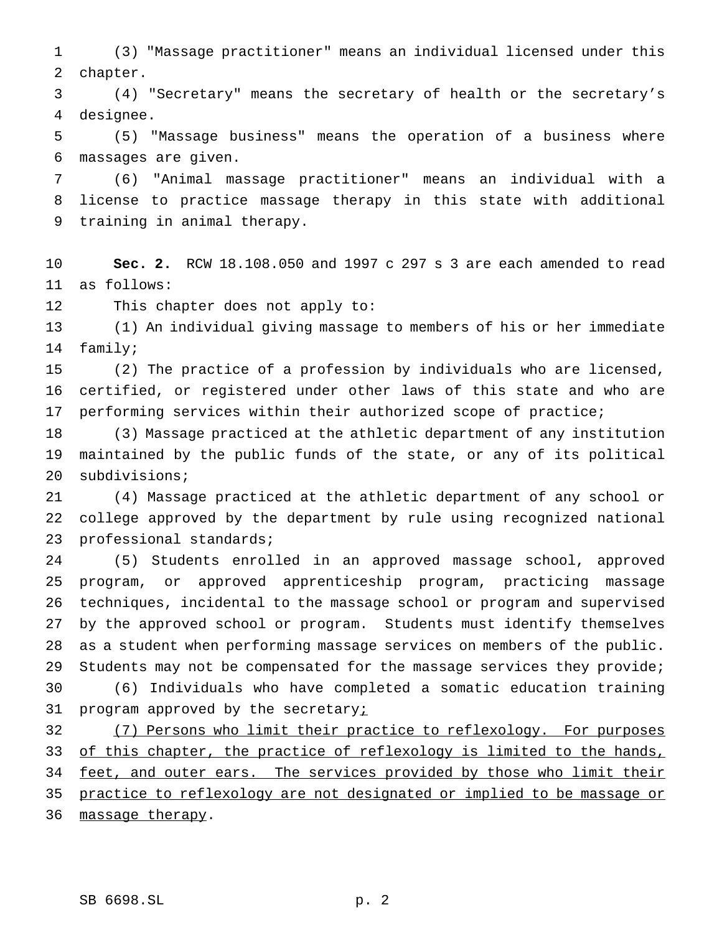(3) "Massage practitioner" means an individual licensed under this chapter.

 (4) "Secretary" means the secretary of health or the secretary's designee.

 (5) "Massage business" means the operation of a business where massages are given.

 (6) "Animal massage practitioner" means an individual with a license to practice massage therapy in this state with additional training in animal therapy.

 **Sec. 2.** RCW 18.108.050 and 1997 c 297 s 3 are each amended to read as follows:

This chapter does not apply to:

 (1) An individual giving massage to members of his or her immediate family;

 (2) The practice of a profession by individuals who are licensed, certified, or registered under other laws of this state and who are performing services within their authorized scope of practice;

 (3) Massage practiced at the athletic department of any institution maintained by the public funds of the state, or any of its political subdivisions;

 (4) Massage practiced at the athletic department of any school or college approved by the department by rule using recognized national professional standards;

 (5) Students enrolled in an approved massage school, approved program, or approved apprenticeship program, practicing massage techniques, incidental to the massage school or program and supervised by the approved school or program. Students must identify themselves as a student when performing massage services on members of the public. 29 Students may not be compensated for the massage services they provide; (6) Individuals who have completed a somatic education training 31 program approved by the secretaryi

32 (7) Persons who limit their practice to reflexology. For purposes 33 of this chapter, the practice of reflexology is limited to the hands, 34 feet, and outer ears. The services provided by those who limit their practice to reflexology are not designated or implied to be massage or 36 massage therapy.